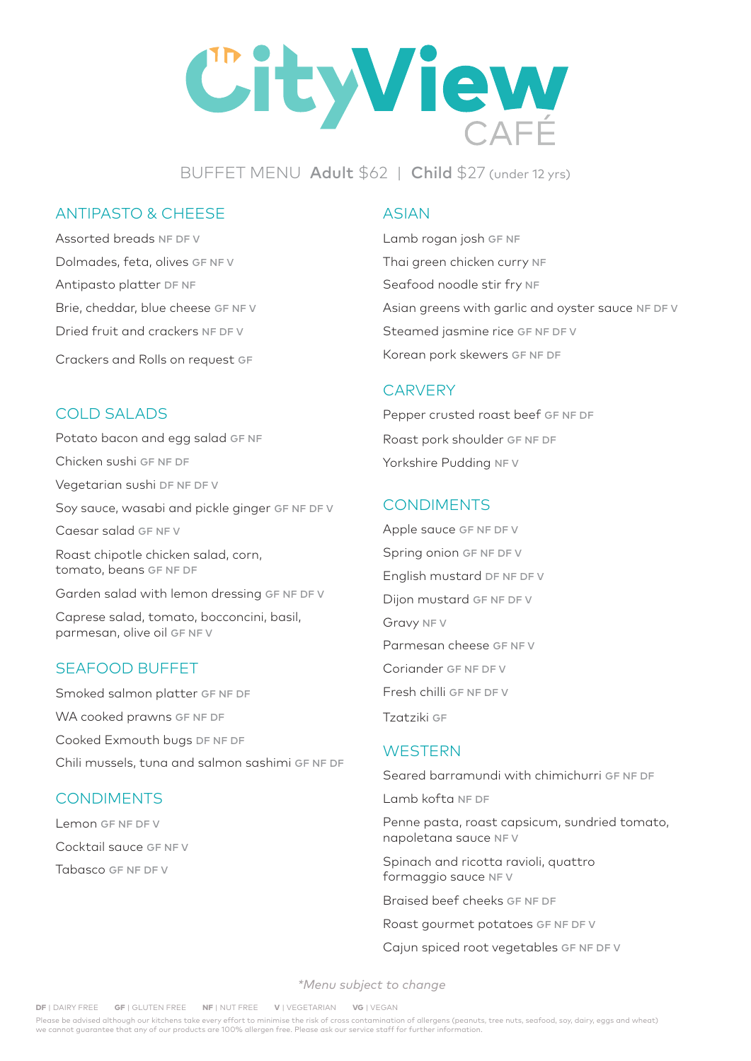# CityView

BUFFET MENU Adult \$62 | Child \$27 (under 12 yrs)

# ANTIPASTO & CHEESE

Assorted breads NF DF V Dolmades, feta, olives GF NF V Antipasto platter DF NF Brie, cheddar, blue cheese GF NF V Dried fruit and crackers NF DF V Crackers and Rolls on request GF

# COLD SALADS

Potato bacon and egg salad GF NF Chicken sushi GF NF DF Vegetarian sushi DF NF DF V Soy sauce, wasabi and pickle ginger GF NF DF V Caesar salad GF NF V Roast chipotle chicken salad, corn, tomato, beans GF NF DF Garden salad with lemon dressing GF NF DF V Caprese salad, tomato, bocconcini, basil, parmesan, olive oil GF NF V

# SEAFOOD BUFFET

Smoked salmon platter GF NF DF WA cooked prawns GF NF DF Cooked Exmouth bugs DF NF DF Chili mussels, tuna and salmon sashimi GF NF DF

# **CONDIMENTS**

Lemon GF NF DF V Cocktail sauce GF NF V Tabasco GF NF DF V

### ASIAN

Lamb rogan josh GF NF Thai green chicken curry NF Seafood noodle stir fry NF Asian greens with garlic and oyster sauce NF DF V Steamed jasmine rice GF NF DF V Korean pork skewers GF NF DF

#### **CARVERY**

Pepper crusted roast beef GF NF DF Roast pork shoulder GF NF DF Yorkshire Pudding NF V

# **CONDIMENTS**

Apple sauce GF NF DF V Spring onion GF NF DF V English mustard DF NF DF V Dijon mustard GF NF DF V Gravy NF V Parmesan cheese GF NF V Coriander GF NF DF V Fresh chilli GF NF DF V Tzatziki GF

#### **WESTERN**

Seared barramundi with chimichurri GF NF DF

Lamb kofta NF DF

Penne pasta, roast capsicum, sundried tomato, napoletana sauce NF V

Spinach and ricotta ravioli, quattro formaggio sauce NF V

Braised beef cheeks GF NF DF

Roast gourmet potatoes GF NF DF V

Cajun spiced root vegetables GF NF DF V

*\*Menu subject to change*